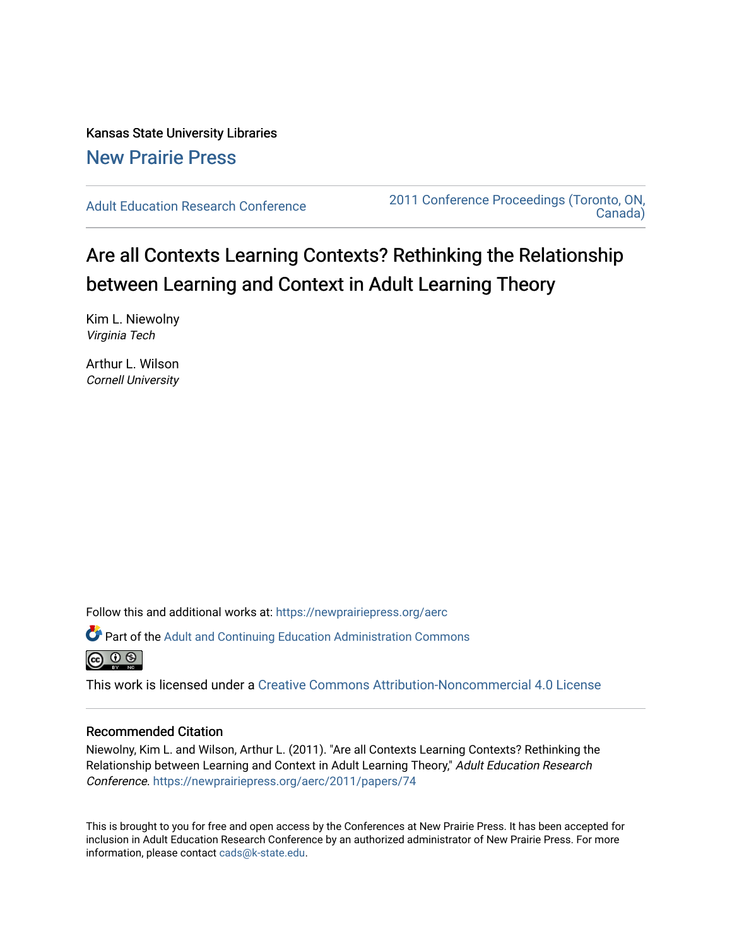Kansas State University Libraries [New Prairie Press](https://newprairiepress.org/) 

[Adult Education Research Conference](https://newprairiepress.org/aerc) [2011 Conference Proceedings \(Toronto, ON,](https://newprairiepress.org/aerc/2011)  [Canada\)](https://newprairiepress.org/aerc/2011) 

# Are all Contexts Learning Contexts? Rethinking the Relationship between Learning and Context in Adult Learning Theory

Kim L. Niewolny Virginia Tech

Arthur L. Wilson Cornell University

Follow this and additional works at: [https://newprairiepress.org/aerc](https://newprairiepress.org/aerc?utm_source=newprairiepress.org%2Faerc%2F2011%2Fpapers%2F74&utm_medium=PDF&utm_campaign=PDFCoverPages)

Part of the [Adult and Continuing Education Administration Commons](http://network.bepress.com/hgg/discipline/789?utm_source=newprairiepress.org%2Faerc%2F2011%2Fpapers%2F74&utm_medium=PDF&utm_campaign=PDFCoverPages)



This work is licensed under a [Creative Commons Attribution-Noncommercial 4.0 License](https://creativecommons.org/licenses/by-nc/4.0/)

## Recommended Citation

Niewolny, Kim L. and Wilson, Arthur L. (2011). "Are all Contexts Learning Contexts? Rethinking the Relationship between Learning and Context in Adult Learning Theory," Adult Education Research Conference.<https://newprairiepress.org/aerc/2011/papers/74>

This is brought to you for free and open access by the Conferences at New Prairie Press. It has been accepted for inclusion in Adult Education Research Conference by an authorized administrator of New Prairie Press. For more information, please contact [cads@k-state.edu](mailto:cads@k-state.edu).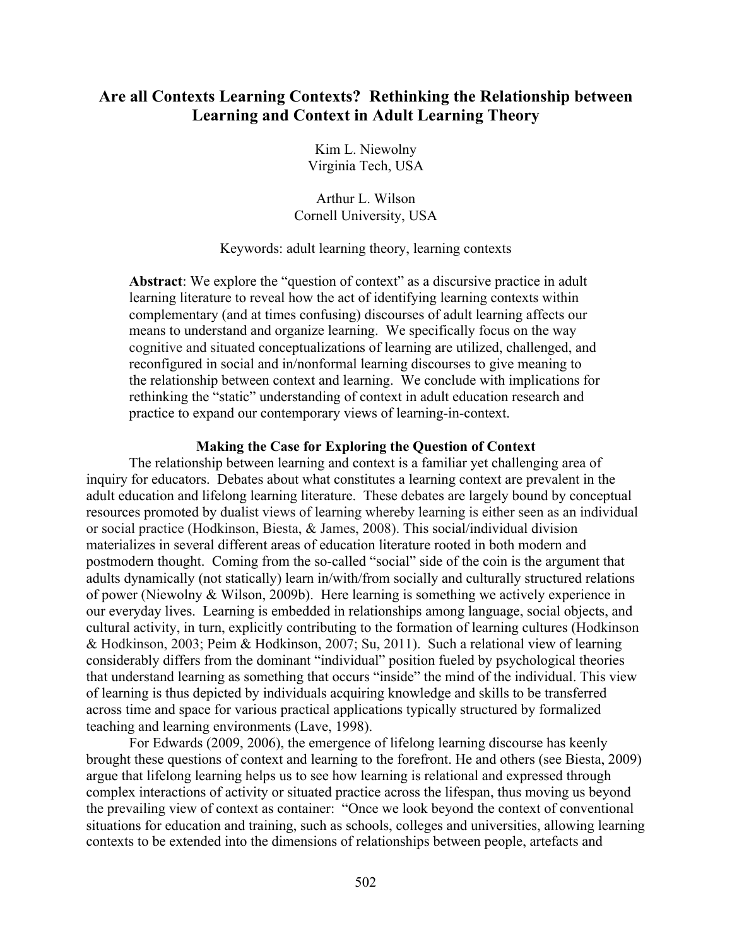# **Are all Contexts Learning Contexts? Rethinking the Relationship between Learning and Context in Adult Learning Theory**

Kim L. Niewolny Virginia Tech, USA

Arthur L. Wilson Cornell University, USA

# Keywords: adult learning theory, learning contexts

Abstract: We explore the "question of context" as a discursive practice in adult learning literature to reveal how the act of identifying learning contexts within complementary (and at times confusing) discourses of adult learning affects our means to understand and organize learning. We specifically focus on the way cognitive and situated conceptualizations of learning are utilized, challenged, and reconfigured in social and in/nonformal learning discourses to give meaning to the relationship between context and learning. We conclude with implications for rethinking the "static" understanding of context in adult education research and practice to expand our contemporary views of learning-in-context.

# **Making the Case for Exploring the Question of Context**

The relationship between learning and context is a familiar yet challenging area of inquiry for educators. Debates about what constitutes a learning context are prevalent in the adult education and lifelong learning literature. These debates are largely bound by conceptual resources promoted by dualist views of learning whereby learning is either seen as an individual or social practice (Hodkinson, Biesta, & James, 2008). This social/individual division materializes in several different areas of education literature rooted in both modern and postmodern thought. Coming from the so-called "social" side of the coin is the argument that adults dynamically (not statically) learn in/with/from socially and culturally structured relations of power (Niewolny & Wilson, 2009b). Here learning is something we actively experience in our everyday lives. Learning is embedded in relationships among language, social objects, and cultural activity, in turn, explicitly contributing to the formation of learning cultures (Hodkinson & Hodkinson, 2003; Peim & Hodkinson, 2007; Su, 2011). Such a relational view of learning considerably differs from the dominant "individual" position fueled by psychological theories that understand learning as something that occurs "inside" the mind of the individual. This view of learning is thus depicted by individuals acquiring knowledge and skills to be transferred across time and space for various practical applications typically structured by formalized teaching and learning environments (Lave, 1998).

For Edwards (2009, 2006), the emergence of lifelong learning discourse has keenly brought these questions of context and learning to the forefront. He and others (see Biesta, 2009) argue that lifelong learning helps us to see how learning is relational and expressed through complex interactions of activity or situated practice across the lifespan, thus moving us beyond the prevailing view of context as container: "Once we look beyond the context of conventional situations for education and training, such as schools, colleges and universities, allowing learning contexts to be extended into the dimensions of relationships between people, artefacts and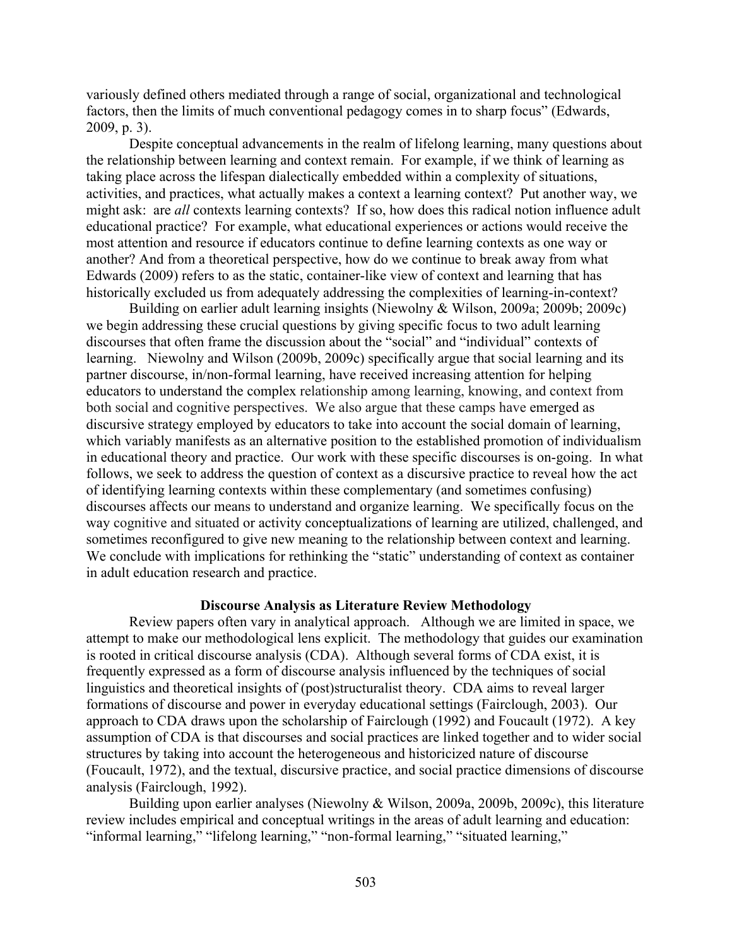variously defined others mediated through a range of social, organizational and technological factors, then the limits of much conventional pedagogy comes in to sharp focus" (Edwards, 2009, p. 3).

Despite conceptual advancements in the realm of lifelong learning, many questions about the relationship between learning and context remain. For example, if we think of learning as taking place across the lifespan dialectically embedded within a complexity of situations, activities, and practices, what actually makes a context a learning context? Put another way, we might ask: are *all* contexts learning contexts? If so, how does this radical notion influence adult educational practice? For example, what educational experiences or actions would receive the most attention and resource if educators continue to define learning contexts as one way or another? And from a theoretical perspective, how do we continue to break away from what Edwards (2009) refers to as the static, container-like view of context and learning that has historically excluded us from adequately addressing the complexities of learning-in-context?

Building on earlier adult learning insights (Niewolny & Wilson, 2009a; 2009b; 2009c) we begin addressing these crucial questions by giving specific focus to two adult learning discourses that often frame the discussion about the "social" and "individual" contexts of learning. Niewolny and Wilson (2009b, 2009c) specifically argue that social learning and its partner discourse, in/non-formal learning, have received increasing attention for helping educators to understand the complex relationship among learning, knowing, and context from both social and cognitive perspectives. We also argue that these camps have emerged as discursive strategy employed by educators to take into account the social domain of learning, which variably manifests as an alternative position to the established promotion of individualism in educational theory and practice. Our work with these specific discourses is on-going. In what follows, we seek to address the question of context as a discursive practice to reveal how the act of identifying learning contexts within these complementary (and sometimes confusing) discourses affects our means to understand and organize learning. We specifically focus on the way cognitive and situated or activity conceptualizations of learning are utilized, challenged, and sometimes reconfigured to give new meaning to the relationship between context and learning. We conclude with implications for rethinking the "static" understanding of context as container in adult education research and practice.

#### **Discourse Analysis as Literature Review Methodology**

Review papers often vary in analytical approach. Although we are limited in space, we attempt to make our methodological lens explicit. The methodology that guides our examination is rooted in critical discourse analysis (CDA). Although several forms of CDA exist, it is frequently expressed as a form of discourse analysis influenced by the techniques of social linguistics and theoretical insights of (post)structuralist theory. CDA aims to reveal larger formations of discourse and power in everyday educational settings (Fairclough, 2003). Our approach to CDA draws upon the scholarship of Fairclough (1992) and Foucault (1972). A key assumption of CDA is that discourses and social practices are linked together and to wider social structures by taking into account the heterogeneous and historicized nature of discourse (Foucault, 1972), and the textual, discursive practice, and social practice dimensions of discourse analysis (Fairclough, 1992).

Building upon earlier analyses (Niewolny & Wilson, 2009a, 2009b, 2009c), this literature review includes empirical and conceptual writings in the areas of adult learning and education: "informal learning," "lifelong learning," "non-formal learning," "situated learning,"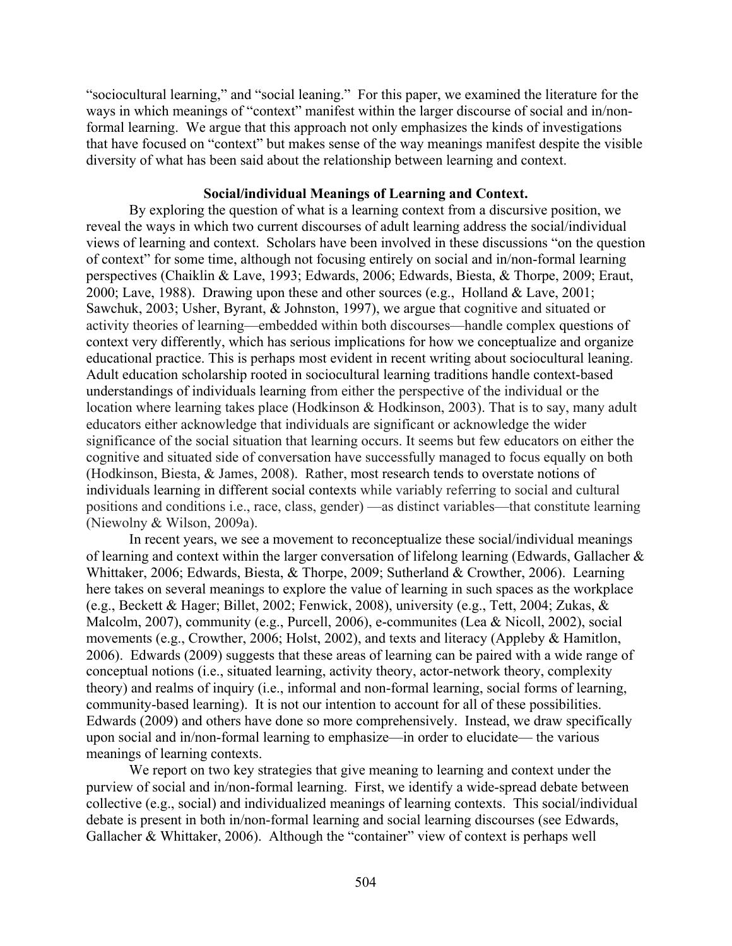"sociocultural learning," and "social leaning." For this paper, we examined the literature for the ways in which meanings of "context" manifest within the larger discourse of social and in/nonformal learning. We argue that this approach not only emphasizes the kinds of investigations that have focused on "context" but makes sense of the way meanings manifest despite the visible diversity of what has been said about the relationship between learning and context.

## **Social/individual Meanings of Learning and Context.**

By exploring the question of what is a learning context from a discursive position, we reveal the ways in which two current discourses of adult learning address the social/individual views of learning and context. Scholars have been involved in these discussions "on the question of context" for some time, although not focusing entirely on social and in/non-formal learning perspectives (Chaiklin & Lave, 1993; Edwards, 2006; Edwards, Biesta, & Thorpe, 2009; Eraut, 2000; Lave, 1988). Drawing upon these and other sources (e.g., Holland & Lave, 2001; Sawchuk, 2003; Usher, Byrant, & Johnston, 1997), we argue that cognitive and situated or activity theories of learning—embedded within both discourses—handle complex questions of context very differently, which has serious implications for how we conceptualize and organize educational practice. This is perhaps most evident in recent writing about sociocultural leaning. Adult education scholarship rooted in sociocultural learning traditions handle context-based understandings of individuals learning from either the perspective of the individual or the location where learning takes place (Hodkinson & Hodkinson, 2003). That is to say, many adult educators either acknowledge that individuals are significant or acknowledge the wider significance of the social situation that learning occurs. It seems but few educators on either the cognitive and situated side of conversation have successfully managed to focus equally on both (Hodkinson, Biesta, & James, 2008). Rather, most research tends to overstate notions of individuals learning in different social contexts while variably referring to social and cultural positions and conditions i.e., race, class, gender) —as distinct variables—that constitute learning (Niewolny & Wilson, 2009a).

In recent years, we see a movement to reconceptualize these social/individual meanings of learning and context within the larger conversation of lifelong learning (Edwards, Gallacher & Whittaker, 2006; Edwards, Biesta, & Thorpe, 2009; Sutherland & Crowther, 2006). Learning here takes on several meanings to explore the value of learning in such spaces as the workplace (e.g., Beckett & Hager; Billet, 2002; Fenwick, 2008), university (e.g., Tett, 2004; Zukas, & Malcolm, 2007), community (e.g., Purcell, 2006), e-communites (Lea & Nicoll, 2002), social movements (e.g., Crowther, 2006; Holst, 2002), and texts and literacy (Appleby & Hamitlon, 2006). Edwards (2009) suggests that these areas of learning can be paired with a wide range of conceptual notions (i.e., situated learning, activity theory, actor-network theory, complexity theory) and realms of inquiry (i.e., informal and non-formal learning, social forms of learning, community-based learning). It is not our intention to account for all of these possibilities. Edwards (2009) and others have done so more comprehensively. Instead, we draw specifically upon social and in/non-formal learning to emphasize—in order to elucidate— the various meanings of learning contexts.

We report on two key strategies that give meaning to learning and context under the purview of social and in/non-formal learning. First, we identify a wide-spread debate between collective (e.g., social) and individualized meanings of learning contexts. This social/individual debate is present in both in/non-formal learning and social learning discourses (see Edwards, Gallacher & Whittaker, 2006). Although the "container" view of context is perhaps well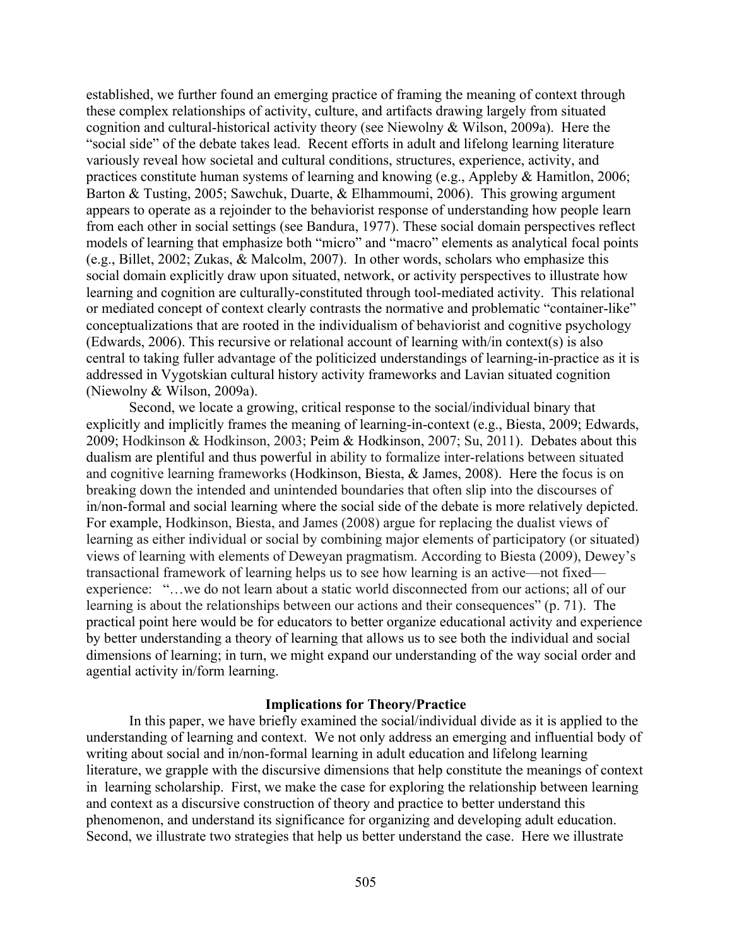established, we further found an emerging practice of framing the meaning of context through these complex relationships of activity, culture, and artifacts drawing largely from situated cognition and cultural-historical activity theory (see Niewolny & Wilson, 2009a). Here the "social side" of the debate takes lead. Recent efforts in adult and lifelong learning literature variously reveal how societal and cultural conditions, structures, experience, activity, and practices constitute human systems of learning and knowing (e.g., Appleby & Hamitlon, 2006; Barton & Tusting, 2005; Sawchuk, Duarte, & Elhammoumi, 2006). This growing argument appears to operate as a rejoinder to the behaviorist response of understanding how people learn from each other in social settings (see Bandura, 1977). These social domain perspectives reflect models of learning that emphasize both "micro" and "macro" elements as analytical focal points (e.g., Billet, 2002; Zukas, & Malcolm, 2007). In other words, scholars who emphasize this social domain explicitly draw upon situated, network, or activity perspectives to illustrate how learning and cognition are culturally-constituted through tool-mediated activity. This relational or mediated concept of context clearly contrasts the normative and problematic "container-like" conceptualizations that are rooted in the individualism of behaviorist and cognitive psychology (Edwards, 2006). This recursive or relational account of learning with/in context(s) is also central to taking fuller advantage of the politicized understandings of learning-in-practice as it is addressed in Vygotskian cultural history activity frameworks and Lavian situated cognition (Niewolny & Wilson, 2009a).

Second, we locate a growing, critical response to the social/individual binary that explicitly and implicitly frames the meaning of learning-in-context (e.g., Biesta, 2009; Edwards, 2009; Hodkinson & Hodkinson, 2003; Peim & Hodkinson, 2007; Su, 2011). Debates about this dualism are plentiful and thus powerful in ability to formalize inter-relations between situated and cognitive learning frameworks (Hodkinson, Biesta, & James, 2008). Here the focus is on breaking down the intended and unintended boundaries that often slip into the discourses of in/non-formal and social learning where the social side of the debate is more relatively depicted. For example, Hodkinson, Biesta, and James (2008) argue for replacing the dualist views of learning as either individual or social by combining major elements of participatory (or situated) views of learning with elements of Deweyan pragmatism. According to Biesta (2009), Dewey's transactional framework of learning helps us to see how learning is an active—not fixed experience: "…we do not learn about a static world disconnected from our actions; all of our learning is about the relationships between our actions and their consequences" (p. 71). The practical point here would be for educators to better organize educational activity and experience by better understanding a theory of learning that allows us to see both the individual and social dimensions of learning; in turn, we might expand our understanding of the way social order and agential activity in/form learning.

#### **Implications for Theory/Practice**

In this paper, we have briefly examined the social/individual divide as it is applied to the understanding of learning and context. We not only address an emerging and influential body of writing about social and in/non-formal learning in adult education and lifelong learning literature, we grapple with the discursive dimensions that help constitute the meanings of context in learning scholarship. First, we make the case for exploring the relationship between learning and context as a discursive construction of theory and practice to better understand this phenomenon, and understand its significance for organizing and developing adult education. Second, we illustrate two strategies that help us better understand the case. Here we illustrate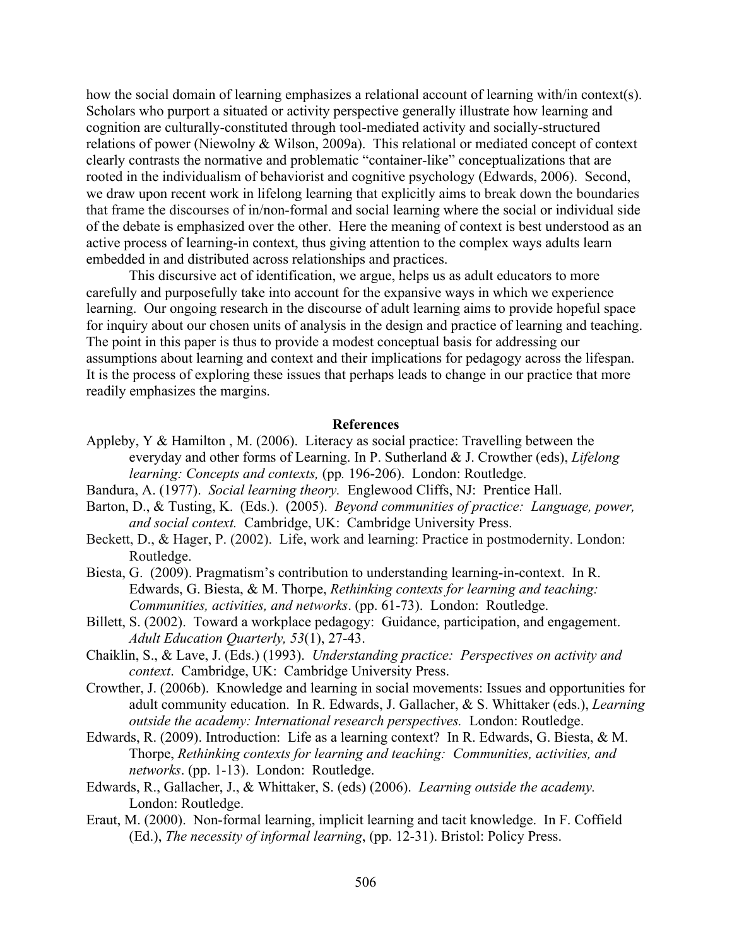how the social domain of learning emphasizes a relational account of learning with/in context(s). Scholars who purport a situated or activity perspective generally illustrate how learning and cognition are culturally-constituted through tool-mediated activity and socially-structured relations of power (Niewolny & Wilson, 2009a). This relational or mediated concept of context clearly contrasts the normative and problematic "container-like" conceptualizations that are rooted in the individualism of behaviorist and cognitive psychology (Edwards, 2006). Second, we draw upon recent work in lifelong learning that explicitly aims to break down the boundaries that frame the discourses of in/non-formal and social learning where the social or individual side of the debate is emphasized over the other. Here the meaning of context is best understood as an active process of learning-in context, thus giving attention to the complex ways adults learn embedded in and distributed across relationships and practices.

This discursive act of identification, we argue, helps us as adult educators to more carefully and purposefully take into account for the expansive ways in which we experience learning. Our ongoing research in the discourse of adult learning aims to provide hopeful space for inquiry about our chosen units of analysis in the design and practice of learning and teaching. The point in this paper is thus to provide a modest conceptual basis for addressing our assumptions about learning and context and their implications for pedagogy across the lifespan. It is the process of exploring these issues that perhaps leads to change in our practice that more readily emphasizes the margins.

#### **References**

- Appleby, Y & Hamilton , M. (2006). Literacy as social practice: Travelling between the everyday and other forms of Learning. In P. Sutherland & J. Crowther (eds), *Lifelong learning: Concepts and contexts,* (pp*.* 196-206). London: Routledge.
- Bandura, A. (1977). *Social learning theory.* Englewood Cliffs, NJ: Prentice Hall.
- Barton, D., & Tusting, K. (Eds.). (2005). *Beyond communities of practice: Language, power, and social context.* Cambridge, UK: Cambridge University Press.
- Beckett, D., & Hager, P. (2002). Life, work and learning: Practice in postmodernity. London: Routledge.
- Biesta, G. (2009). Pragmatism's contribution to understanding learning-in-context. In R. Edwards, G. Biesta, & M. Thorpe, *Rethinking contexts for learning and teaching: Communities, activities, and networks*. (pp. 61-73). London: Routledge.
- Billett, S. (2002). Toward a workplace pedagogy: Guidance, participation, and engagement. *Adult Education Quarterly, 53*(1), 27-43.
- Chaiklin, S., & Lave, J. (Eds.) (1993). *Understanding practice: Perspectives on activity and context*. Cambridge, UK: Cambridge University Press.
- Crowther, J. (2006b). Knowledge and learning in social movements: Issues and opportunities for adult community education. In R. Edwards, J. Gallacher, & S. Whittaker (eds.), *Learning outside the academy: International research perspectives.* London: Routledge.
- Edwards, R. (2009). Introduction: Life as a learning context? In R. Edwards, G. Biesta, & M. Thorpe, *Rethinking contexts for learning and teaching: Communities, activities, and networks*. (pp. 1-13). London: Routledge.
- Edwards, R., Gallacher, J., & Whittaker, S. (eds) (2006). *Learning outside the academy.*  London: Routledge.
- Eraut, M. (2000). Non-formal learning, implicit learning and tacit knowledge. In F. Coffield (Ed.), *The necessity of informal learning*, (pp. 12-31). Bristol: Policy Press.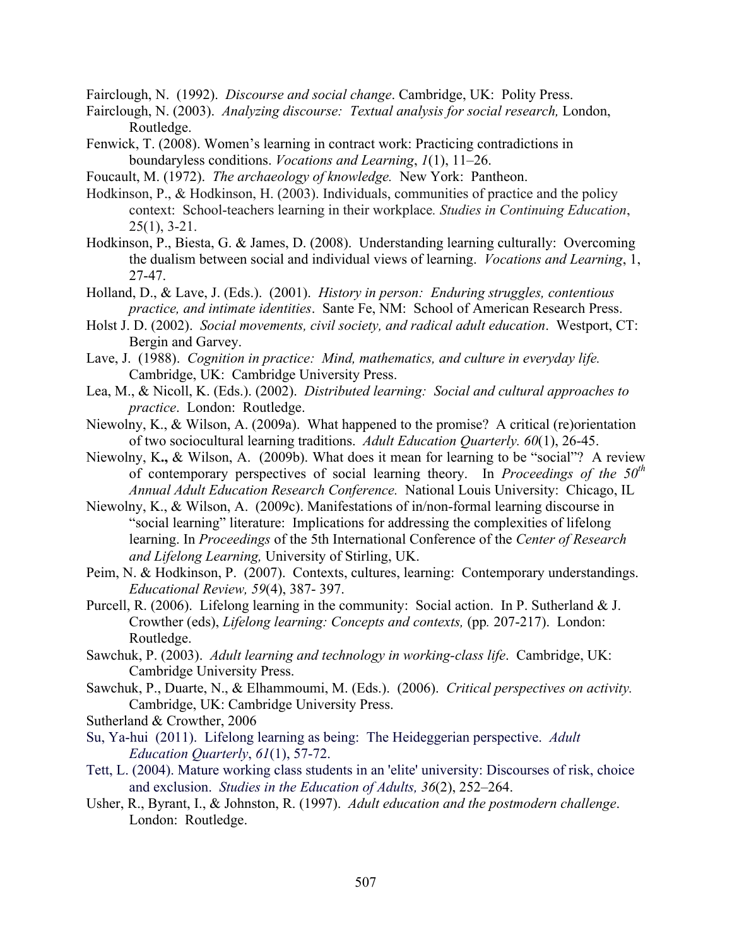Fairclough, N. (1992). *Discourse and social change*. Cambridge, UK: Polity Press.

- Fairclough, N. (2003). *Analyzing discourse: Textual analysis for social research,* London, Routledge.
- Fenwick, T. (2008). Women's learning in contract work: Practicing contradictions in boundaryless conditions. *Vocations and Learning*, *1*(1), 11–26.
- Foucault, M. (1972). *The archaeology of knowledge.* New York: Pantheon.
- Hodkinson, P., & Hodkinson, H. (2003). Individuals, communities of practice and the policy context: School-teachers learning in their workplace*. Studies in Continuing Education*,  $25(1)$ ,  $3-21$ .
- Hodkinson, P., Biesta, G. & James, D. (2008). Understanding learning culturally: Overcoming the dualism between social and individual views of learning. *Vocations and Learning*, 1, 27-47.
- Holland, D., & Lave, J. (Eds.). (2001). *History in person: Enduring struggles, contentious practice, and intimate identities*. Sante Fe, NM: School of American Research Press.
- Holst J. D. (2002). *Social movements, civil society, and radical adult education*. Westport, CT: Bergin and Garvey.
- Lave, J. (1988). *Cognition in practice: Mind, mathematics, and culture in everyday life.*  Cambridge, UK: Cambridge University Press.
- Lea, M., & Nicoll, K. (Eds.). (2002). *Distributed learning: Social and cultural approaches to practice*. London: Routledge.
- Niewolny, K., & Wilson, A. (2009a). What happened to the promise? A critical (re)orientation of two sociocultural learning traditions. *Adult Education Quarterly. 60*(1), 26-45.
- Niewolny, K**.,** & Wilson, A. (2009b). What does it mean for learning to be "social"? A review of contemporary perspectives of social learning theory. In *Proceedings of the 50th Annual Adult Education Research Conference.* National Louis University: Chicago, IL
- Niewolny, K., & Wilson, A. (2009c). Manifestations of in/non-formal learning discourse in "social learning" literature: Implications for addressing the complexities of lifelong learning. In *Proceedings* of the 5th International Conference of the *Center of Research and Lifelong Learning,* University of Stirling, UK.
- Peim, N. & Hodkinson, P. (2007). Contexts, cultures, learning: Contemporary understandings. *Educational Review, 59*(4), 387- 397.
- Purcell, R. (2006). Lifelong learning in the community: Social action. In P. Sutherland & J. Crowther (eds), *Lifelong learning: Concepts and contexts,* (pp*.* 207-217). London: Routledge.
- Sawchuk, P. (2003). *Adult learning and technology in working-class life*. Cambridge, UK: Cambridge University Press.
- Sawchuk, P., Duarte, N., & Elhammoumi, M. (Eds.). (2006). *Critical perspectives on activity.* Cambridge, UK: Cambridge University Press.
- Sutherland & Crowther, 2006
- Su, Ya-hui (2011). Lifelong learning as being: The Heideggerian perspective. *Adult Education Quarterly*, *61*(1), 57-72.
- Tett, L. (2004). Mature working class students in an 'elite' university: Discourses of risk, choice and exclusion. *Studies in the Education of Adults, 36*(2), 252–264.
- Usher, R., Byrant, I., & Johnston, R. (1997). *Adult education and the postmodern challenge*. London: Routledge.